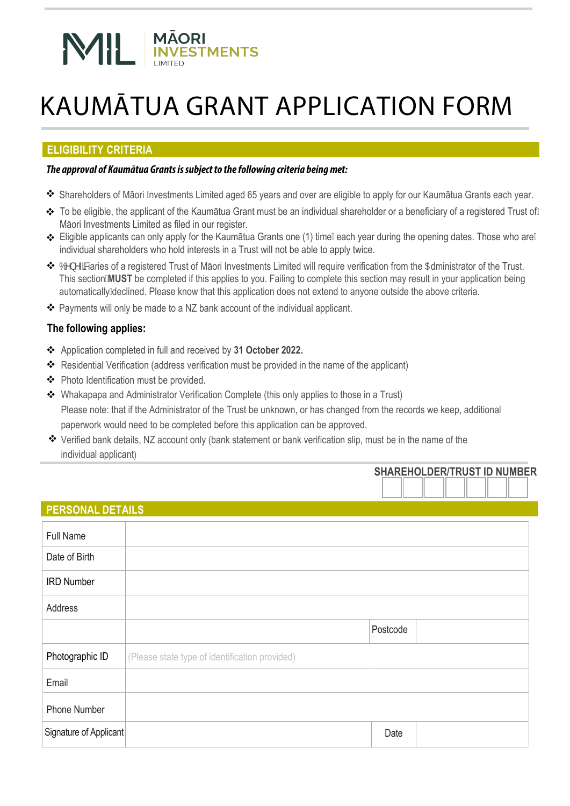# **MĀORI<br>INVESTMENTS** N III

# KAUMĀTUA GRANT APPLICATION FORM

# **ELIGIBILITY CRITERIA**

# **The approval of Kaumātua Grants is subject to the following criteria being met:**

- Shareholders of Māori Investments Limited aged 65 years and over are eligible to apply for our Kaumātua Grants each year.
- To be eligible, the applicant of the Kaumātua Grant must be an individual shareholder or a beneficiary of a registered Trust of Māori Investments Limited as filed in our register.
- ❖ Eligible applicants can only apply for the Kaumātua Grants one (1) timežeach year during the opening dates. Those who are individual shareholders who hold interests in a Trust will not be able to apply twice.
- \* 6YbYZMaries of a registered Trust of Māori Investments Limited will require verification from the 5dministrator of the Trust. This section**MUST** be completed if this applies to you. Failing to complete this section may result in your application being automatically declined. Please know that this application does not extend to anyone outside the above criteria.
- \* Payments will only be made to a NZ bank account of the individual applicant.

# **The following applies:**

- Application completed in full and received by **31 October 2022.**
- \* Residential Verification (address verification must be provided in the name of the applicant)
- ◆ Photo Identification must be provided.
- Whakapapa and Administrator Verification Complete (this only applies to those in a Trust) Please note: that if the Administrator of the Trust be unknown, or has changed from the records we keep, additional paperwork would need to be completed before this application can be approved.
- Verified bank details, NZ account only (bank statement or bank verification slip, must be in the name of the individual applicant)

|                         |                                                |          | <b>SHAREHOLDER/TRUST ID NUMBER</b> |  |  |
|-------------------------|------------------------------------------------|----------|------------------------------------|--|--|
|                         |                                                |          |                                    |  |  |
| <b>PERSONAL DETAILS</b> |                                                |          |                                    |  |  |
| <b>Full Name</b>        |                                                |          |                                    |  |  |
| Date of Birth           |                                                |          |                                    |  |  |
| <b>IRD Number</b>       |                                                |          |                                    |  |  |
| Address                 |                                                |          |                                    |  |  |
|                         |                                                | Postcode |                                    |  |  |
| Photographic ID         | (Please state type of identification provided) |          |                                    |  |  |
| Email                   |                                                |          |                                    |  |  |
| <b>Phone Number</b>     |                                                |          |                                    |  |  |
| Signature of Applicant  |                                                | Date     |                                    |  |  |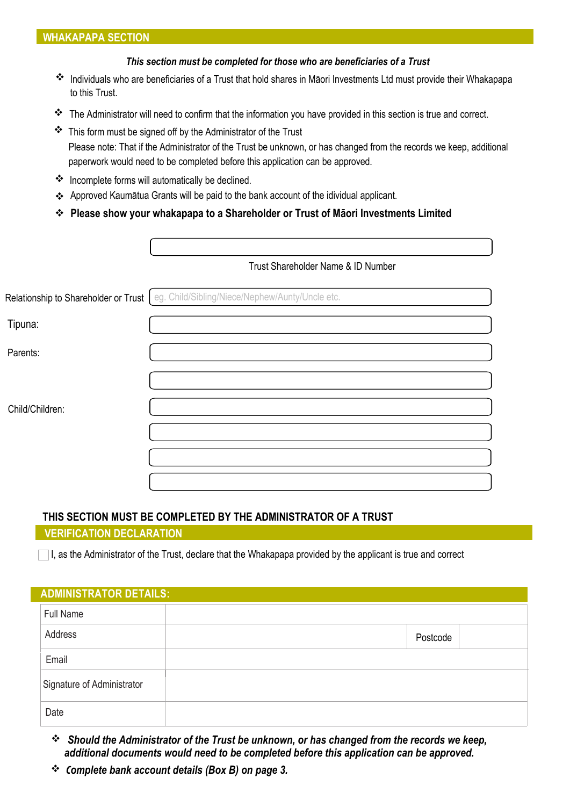#### **WHAKAPAPA SECTION**

#### *This section must be completed for those who are beneficiaries of a Trust*

- Individuals who are beneficiaries of a Trust that hold shares in Māori Investments Ltd must provide their Whakapapa to this Trust.
- \* The Administrator will need to confirm that the information you have provided in this section is true and correct.
- \* This form must be signed off by the Administrator of the Trust Please note: That if the Administrator of the Trust be unknown, or has changed from the records we keep, additional paperwork would need to be completed before this application can be approved.
- \* Incomplete forms will automatically be declined.
- Approved Kaumātua Grants will be paid to the bank account of the idividual applicant.
- **Please show your whakapapa to a Shareholder or Trust of Māori Investments Limited**

|                 | Trust Shareholder Name & ID Number                                                     |
|-----------------|----------------------------------------------------------------------------------------|
|                 | Relationship to Shareholder or Trust   eg. Child/Sibling/Niece/Nephew/Aunty/Uncle etc. |
| Tipuna:         |                                                                                        |
| Parents:        |                                                                                        |
|                 |                                                                                        |
| Child/Children: |                                                                                        |
|                 |                                                                                        |
|                 |                                                                                        |
|                 |                                                                                        |

## **THIS SECTION MUST BE COMPLETED BY THE ADMINISTRATOR OF A TRUST**

## **VERIFICATION DECLARATION**

I, as the Administrator of the Trust, declare that the Whakapapa provided by the applicant is true and correct

| <b>ADMINISTRATOR DETAILS:</b> |          |  |
|-------------------------------|----------|--|
| <b>Full Name</b>              |          |  |
| Address                       | Postcode |  |
| Email                         |          |  |
| Signature of Administrator    |          |  |
| Date                          |          |  |

- *Should the Administrator of the Trust be unknown, or has changed from the records we keep, additional documents would need to be completed before this application can be approved.*
- **C***omplete bank account details (Box B) on page 3.*